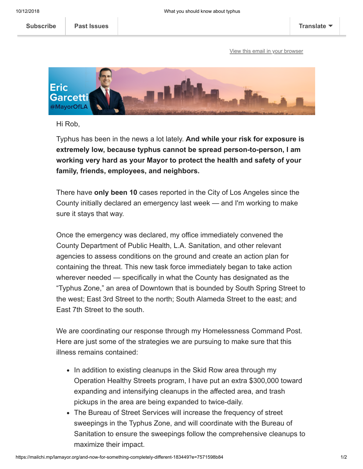[View this email in your browser](https://mailchi.mp/lamayor.org/and-now-for-something-completely-different-183449?e=7571598b84)



Hi Rob,

Typhus has been in the news a lot lately. **And while your risk for exposure is extremely low, because typhus cannot be spread person-to-person, I am working very hard as your Mayor to protect the health and safety of your family, friends, employees, and neighbors.**

There have **only been 10** cases reported in the City of Los Angeles since the County initially declared an emergency last week — and I'm working to make sure it stays that way.

Once the emergency was declared, my office immediately convened the County Department of Public Health, L.A. Sanitation, and other relevant agencies to assess conditions on the ground and create an action plan for containing the threat. This new task force immediately began to take action wherever needed — specifically in what the County has designated as the "Typhus Zone," an area of Downtown that is bounded by South Spring Street to the west; East 3rd Street to the north; South Alameda Street to the east; and East 7th Street to the south.

We are coordinating our response through my Homelessness Command Post. Here are just some of the strategies we are pursuing to make sure that this illness remains contained:

- In addition to existing cleanups in the Skid Row area through my Operation Healthy Streets program, I have put an extra \$300,000 toward expanding and intensifying cleanups in the affected area, and trash pickups in the area are being expanded to twice-daily.
- The Bureau of Street Services will increase the frequency of street sweepings in the Typhus Zone, and will coordinate with the Bureau of Sanitation to ensure the sweepings follow the comprehensive cleanups to maximize their impact.